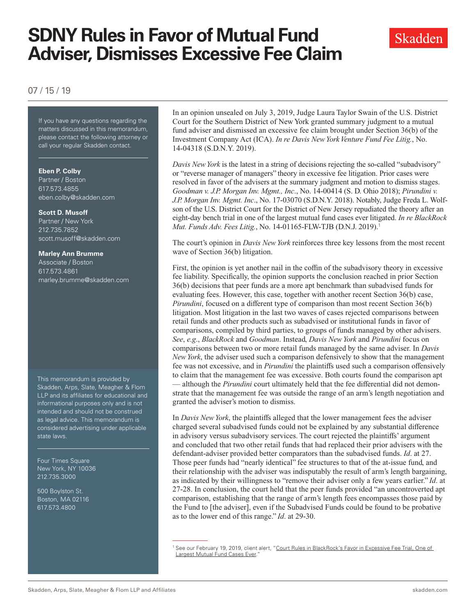# **SDNY Rules in Favor of Mutual Fund Adviser, Dismisses Excessive Fee Claim**



### 07 / 15 / 19

If you have any questions regarding If you have any questions regarding the matters discussed in this memorandum, please contact the following attorney or call your regular Skadden contact.

#### **Eben P. Colby**

Partner / Boston 617.573.4855 eben.colby@skadden.com

#### **Scott D. Musoff**

Partner / New York 212.735.7852 scott.musoff@skadden.com

## **Marley Ann Brumme**

Associate / Boston 617.573.4861 marley.brumme@skadden.com

This memorandum is provided by Skadden, Arps, Slate, Meagher & Flom LLP and its affiliates for educational and informational purposes only and is not intended and should not be construed as legal advice. This memorandum is considered advertising under applicable state laws.

Four Times Square New York, NY 10036 212.735.3000

500 Boylston St. Boston, MA 02116 617.573.4800

In an opinion unsealed on July 3, 2019, Judge Laura Taylor Swain of the U.S. District Court for the Southern District of New York granted summary judgment to a mutual fund adviser and dismissed an excessive fee claim brought under Section 36(b) of the Investment Company Act (ICA). *In re Davis New York Venture Fund Fee Litig.*, No. 14-04318 (S.D.N.Y. 2019).

*Davis New York* is the latest in a string of decisions rejecting the so-called "subadvisory" or "reverse manager of managers" theory in excessive fee litigation. Prior cases were resolved in favor of the advisers at the summary judgment and motion to dismiss stages. *Goodman v. J.P. Morgan Inv. Mgmt., Inc*., No. 14-00414 (S. D. Ohio 2018); *Pirundini v. J.P. Morgan Inv. Mgmt. Inc*., No. 17-03070 (S.D.N.Y. 2018). Notably, Judge Freda L. Wolfson of the U.S. District Court for the District of New Jersey repudiated the theory after an eight-day bench trial in one of the largest mutual fund cases ever litigated. *In re BlackRock Mut. Funds Adv. Fees Litig.*, No. 14-01165-FLW-TJB (D.N.J. 2019).<sup>1</sup>

The court's opinion in *Davis New York* reinforces three key lessons from the most recent wave of Section 36(b) litigation.

First, the opinion is yet another nail in the coffin of the subadvisory theory in excessive fee liability. Specifically, the opinion supports the conclusion reached in prior Section 36(b) decisions that peer funds are a more apt benchmark than subadvised funds for evaluating fees. However, this case, together with another recent Section 36(b) case, *Pirundini*, focused on a different type of comparison than most recent Section 36(b) litigation. Most litigation in the last two waves of cases rejected comparisons between retail funds and other products such as subadvised or institutional funds in favor of comparisons, compiled by third parties, to groups of funds managed by other advisers. *See*, *e.g*., *BlackRock* and *Goodman*. Instead, *Davis New York* and *Pirundini* focus on comparisons between two or more retail funds managed by the same adviser. In *Davis New York*, the adviser used such a comparison defensively to show that the management fee was not excessive, and in *Pirundini* the plaintiffs used such a comparison offensively to claim that the management fee was excessive. Both courts found the comparison apt — although the *Pirundini* court ultimately held that the fee differential did not demonstrate that the management fee was outside the range of an arm's length negotiation and granted the adviser's motion to dismiss.

In *Davis New York*, the plaintiffs alleged that the lower management fees the adviser charged several subadvised funds could not be explained by any substantial difference in advisory versus subadvisory services. The court rejected the plaintiffs' argument and concluded that two other retail funds that had replaced their prior advisers with the defendant-adviser provided better comparators than the subadvised funds. *Id*. at 27. Those peer funds had "nearly identical" fee structures to that of the at-issue fund, and their relationship with the adviser was indisputably the result of arm's length bargaining, as indicated by their willingness to "remove their adviser only a few years earlier." *Id*. at 27-28. In conclusion, the court held that the peer funds provided "an uncontroverted apt comparison, establishing that the range of arm's length fees encompasses those paid by the Fund to [the adviser], even if the Subadvised Funds could be found to be probative as to the lower end of this range." *Id*. at 29-30.

<sup>&</sup>lt;sup>1</sup> See our February 19, 2019, client alert, "Court Rules in BlackRock's Favor in Excessive Fee Trial, One of Largest Mutual Fund Cases Ever.'